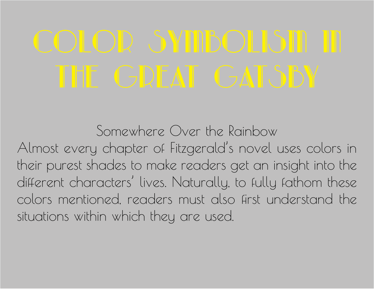Somewhere Over the Rainbow

Almost every chapter of Fitzgerald's novel uses colors in their purest shades to make readers get an insight into the different characters' lives. Naturally, to fully fathom these colors mentioned, readers must also first understand the situations within which they are used.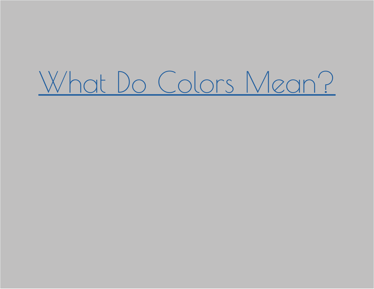# [What Do Colors Mean?](https://www.youtube.com/watch?v=K2K8pPWaGSU)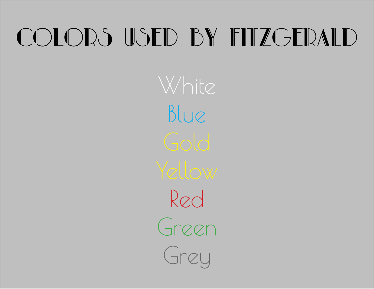## COLORS USED BY FITZGERALD

White Blue Red Green Grey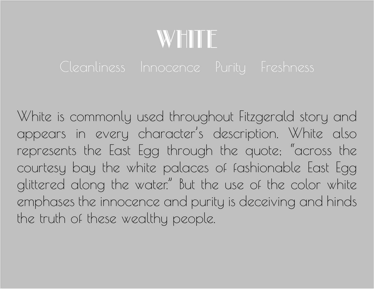## WHITE

White is commonly used throughout Fitzgerald story and appears in every character's description. White also represents the East Egg through the quote; "across the courtesy bay the white palaces of fashionable East Egg glittered along the water." But the use of the color white emphases the innocence and purity is deceiving and hinds the truth of these wealthy people.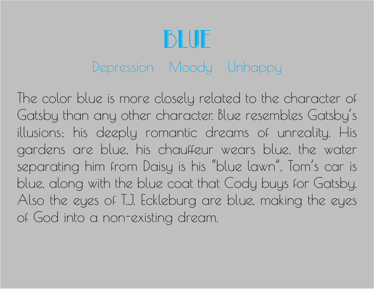## BIUF

## Depression Moody Unhappy

The color blue is more closely related to the character of Gatsby than any other character. Blue resembles Gatsby's illusions; his deeply romantic dreams of unreality. His gardens are blue, his chauffeur wears blue, the water separating him from Daisy is his "blue lawn", Tom's car is blue, along with the blue coat that Cody buys for Gatsby. Also the eyes of T.J. Eckleburg are blue, making the eyes of God into a non-existing dream.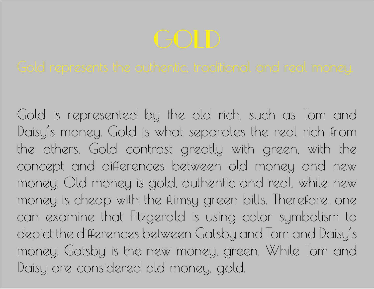Gold is represented by the old rich, such as Tom and Daisy's money. Gold is what separates the real rich from the others. Gold contrast greatly with green, with the concept and differences between old money and new money. Old money is gold, authentic and real, while new money is cheap with the flimsy green bills. Therefore, one can examine that Fitzgerald is using color symbolism to depict the differences between Gatsby and Tom and Daisy's money. Gatsby is the new money, green. While Tom and Daisy are considered old money, gold.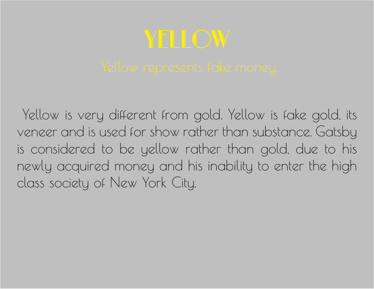# Yellow

 Yellow is very different from gold. Yellow is fake gold, its veneer and is used for show rather than substance. Gatsby is considered to be yellow rather than gold, due to his newly acquired money and his inability to enter the high class society of New York City.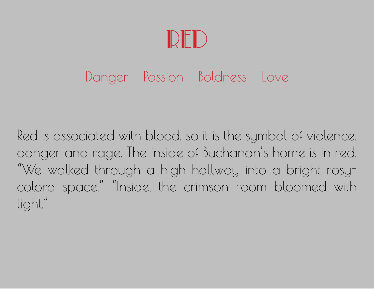## Red

### Danger Passion Boldness Love

Red is associated with blood, so it is the symbol of violence, danger and rage. The inside of Buchanan's home is in red. "We walked through a high hallway into a bright rosycolord space." "Inside, the crimson room bloomed with light."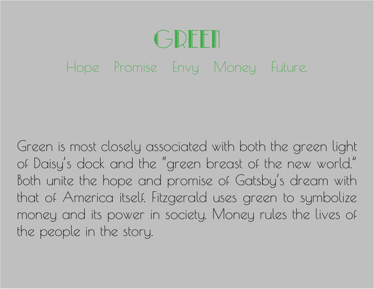## CJDFFII Hope Promise Envy Money Future,

Green is most closely associated with both the green light of Daisy's dock and the "green breast of the new world." Both unite the hope and promise of Gatsby's dream with that of America itself. Fitzgerald uses green to symbolize money and its power in society. Money rules the lives of the people in the story.